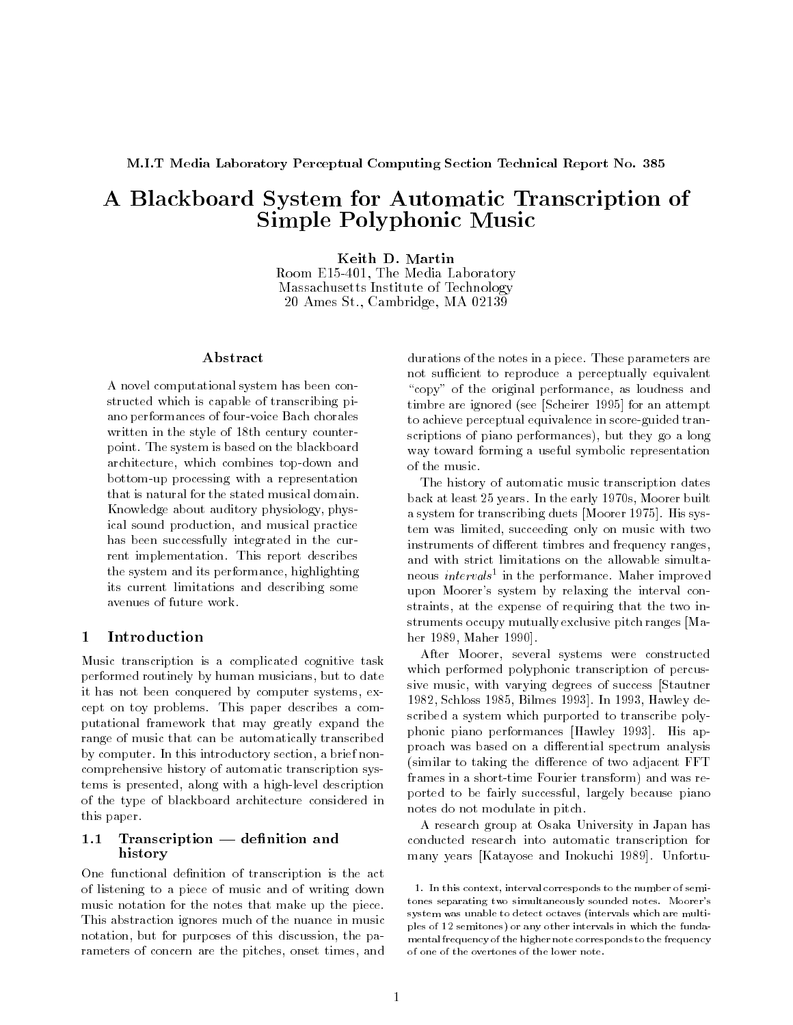M.I.T Media Laboratory Perceptual Computing Section Technical Report No. 385

# A Blackboard System for Automatic Transcription of Simple Polyphonic Music

Keith D. Martin Room E15-401, The Media Laboratory Massachusetts Institute of Technology 20 Ames St., Cambridge, MA 02139

### Abstract

A novel computational system has been constructed which is capable of transcribing piano performances of four-voice Bach chorales written in the style of 18th century counterpoint. The system is based on the blackboard architecture, which combines top-down and bottom-up processing with a representation that is natural for the stated musical domain. Knowledge about auditory physiology, physical sound production, and musical practice has been successfully integrated in the current implementation. This report describes the system and its performance, highlighting its current limitations and describing some avenues of future work.

#### Introduction  $\mathbf{1}$

Music transcription is a complicated cognitive task performed routinely by human musicians, but to date it has not been conquered by computer systems, except on toy problems. This paper describes a computational framework that may greatly expand the range of music that can be automatically transcribed by computer. In this introductory section, a brief noncomprehensive history of automatic transcription systems is presented, along with a high-level description of the type of blackboard architecture considered in this paper.

### $1.1$  Transcription  $-$  definition and history

One functional definition of transcription is the act of listening to a piece of music and of writing down music notation for the notes that make up the piece. This abstraction ignores much of the nuance in music notation, but for purposes of this discussion, the parameters of concern are the pitches, onset times, and durations of the notes in a piece. These parameters are not sufficient to reproduce a perceptually equivalent "copy" of the original performance, as loudness and timbre are ignored (see [Scheirer 1995] for an attempt to achieve perceptual equivalence in score-guided transcriptions of piano performances), but they go a long way toward forming a useful symbolic representation of the music.

The history of automatic music transcription dates back at least 25 years. In the early 1970s, Moorer built a system for transcribing duets [Moorer 1975]. His system was limited, succeeding only on music with two instruments of different timbres and frequency ranges, and with strict limitations on the allowable simultaneous *intervals* <sup>-</sup> in the performance. Maher improved upon Moorer's system by relaxing the interval constraints, at the expense of requiring that the two instruments occupy mutually exclusive pitch ranges [Maher 1989, Maher 1990].

After Moorer, several systems were constructed which performed polyphonic transcription of percussive music, with varying degrees of success [Stautner 1982, Schloss 1985, Bilmes 1993]. In 1993, Hawley described a system which purported to transcribe polyphonic piano performances [Hawley 1993]. His approach was based on a differential spectrum analysis (similar to taking the difference of two adjacent FFT frames in a short-time Fourier transform) and was reported to be fairly successful, largely because piano notes do not modulate in pitch.

A research group at Osaka University in Japan has conducted research into automatic transcription for many years [Katayose and Inokuchi 1989]. Unfortu-

<sup>1:</sup> In this context, interval corresponds to the number of semitones separating two simultaneously sounded notes. Moorer'ssystem was unable to detect octaves (intervals which are multiples of 12 semitones) or any other intervals in which the fundamental frequency of the higher note corresponds to the frequencyof one of the overtones of the lower note.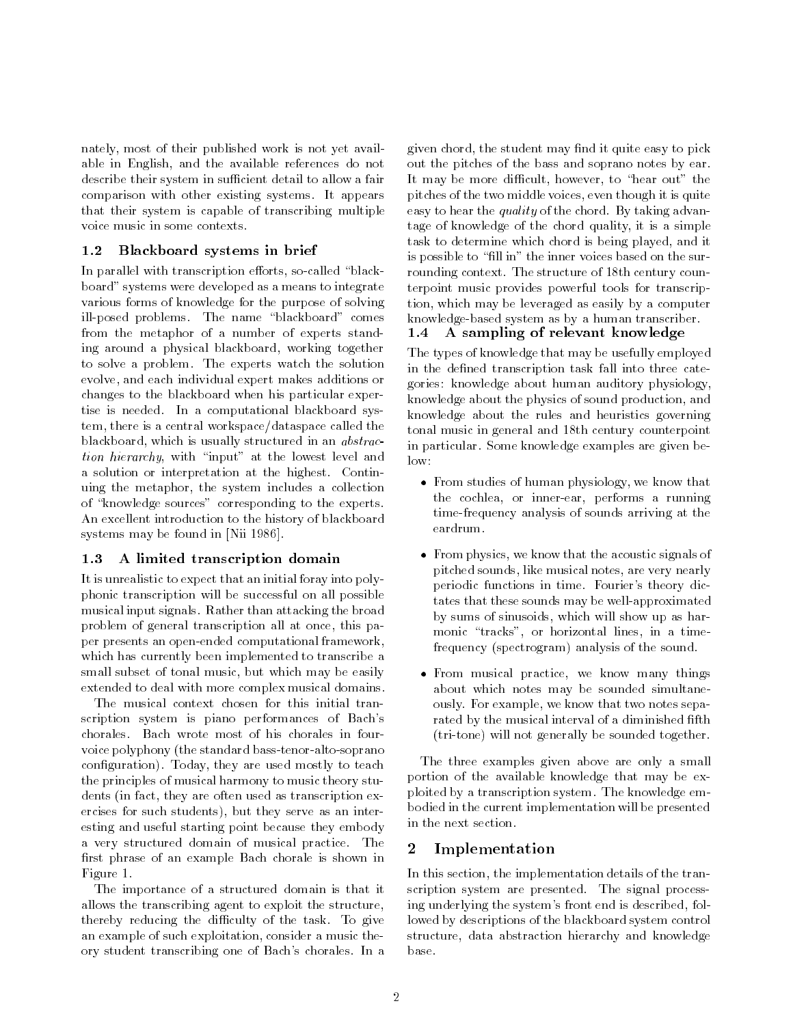nately, most of their published work is not yet available in English, and the available references do not describe their system in sufficient detail to allow a fair comparison with other existing systems. It appears that their system is capable of transcribing multiple voice music in some contexts.

### 1.2 Blackboard systems in brief

In parallel with transcription efforts, so-called "blackboard" systems were developed as a means to integrate various forms of knowledge for the purpose of solving ill-posed problems. The name "blackboard" comes from the metaphor of a number of experts standing around a physical blackboard, working together to solve a problem. The experts watch the solution evolve, and each individual expert makes additions or changes to the blackboard when his particular expertise is needed. In a computational blackboard system, there is a central workspace/dataspace called the blackboard, which is usually structured in an abstraction hierarchy, with "input" at the lowest level and  $\frac{m}{\log n}$ a solution or interpretation at the highest. Continuing the metaphor, the system includes a collection of "knowledge sources" corresponding to the experts. An excellent introduction to the history of blackboard systems may be found in [Nii 1986].

#### A limited transcription domain 1.3

It is unrealistic to expect that an initial foray into polyphonic transcription will be successful on all possible musical input signals. Rather than attacking the broad problem of general transcription all at once, this paper presents an open-ended computational framework, which has currently been implemented to transcribe a small subset of tonal music, but which may be easily extended to deal with more complex musical domains.

The musical context chosen for this initial transcription system is piano performances of Bach's chorales. Bach wrote most of his chorales in fourvoice polyphony (the standard bass-tenor-alto-soprano configuration). Today, they are used mostly to teach the principles of musical harmony to music theory students (in fact, they are often used as transcription exercises for such students), but they serve as an interesting and useful starting point because they embody a very structured domain of musical practice. The first phrase of an example Bach chorale is shown in Figure 1.

The importance of a structured domain is that it allows the transcribing agent to exploit the structure, thereby reducing the difficulty of the task. To give an example of such exploitation, consider a music theory student transcribing one of Bach's chorales. In a

given chord, the student may find it quite easy to pick out the pitches of the bass and soprano notes by ear. It may be more difficult, however, to "hear out" the pitches of the two middle voices, even though it is quite easy to hear the *quality* of the chord. By taking advantage of knowledge of the chord quality, it is a simple task to determine which chord is being played, and it is possible to "fill in" the inner voices based on the surrounding context. The structure of 18th century counterpoint music provides powerful tools for transcription, which may be leveraged as easily by a computer knowledge-based system as by a human transcriber.

# 1.4 A sampling of relevant knowledge

The types of knowledge that may be usefully employed in the defined transcription task fall into three categories: knowledge about human auditory physiology, knowledge about the physics of sound production, and knowledge about the rules and heuristics governing tonal music in general and 18th century counterpoint in particular. Some knowledge examples are given be-

- From studies of human physiology, we have that we the cochlea, or inner-ear, performs a running time-frequency analysis of sounds arriving at the eardrum.
- From physics, we know that the acoustic signals of pitched sounds, like musical notes, are very nearly periodic functions in time. Fourier's theory dictates that these sounds may be well-approximated by sums of sinusoids, which will show up as harmonic "tracks", or horizontal lines, in a timefrequency (spectrogram) analysis of the sound.
- From musical practice, we know many things about which notes may be sounded simultaneously. For example, we know that two notes separated by the musical interval of a diminished fifth (tri-tone) will not generally be sounded together.

The three examples given above are only a small portion of the available knowledge that may be exploited by a transcription system. The knowledge embodied in the current implementation will be presented in the next section.

## 2 Implementation

In this section, the implementation details of the transcription system are presented. The signal processing underlying the system's front end is described, followed by descriptions of the blackboard system control structure, data abstraction hierarchy and knowledge base.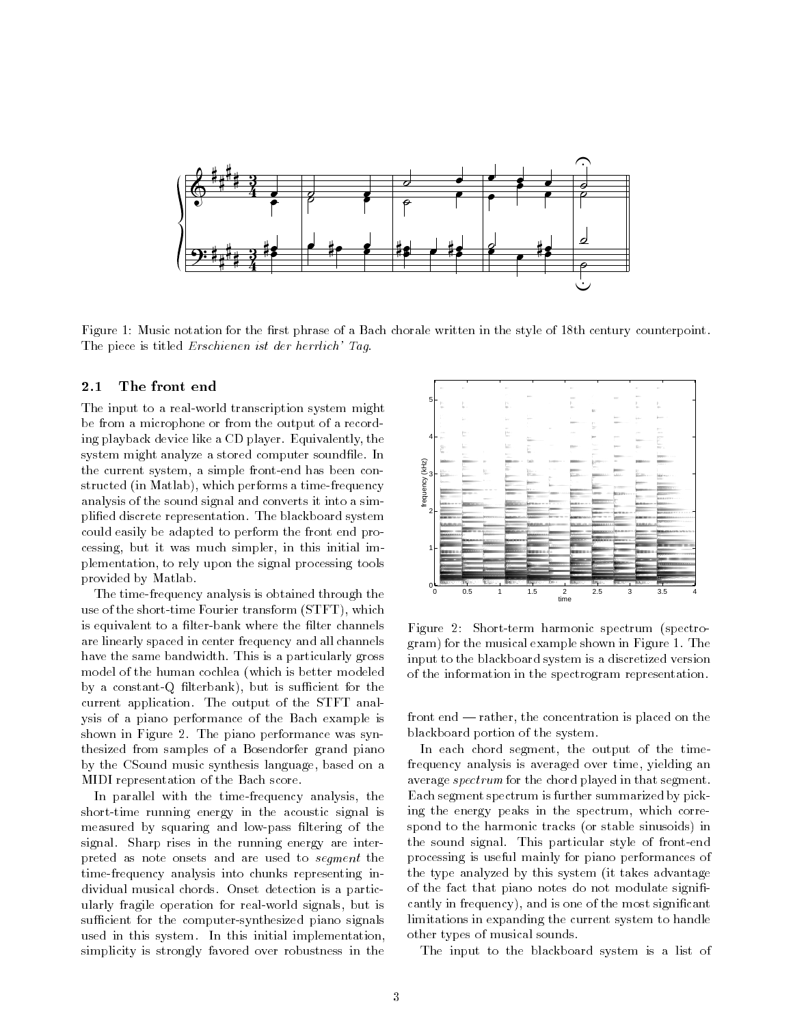

Figure 1: Music notation for the first phrase of a Bach chorale written in the style of 18th century counterpoint. The piece is titled Erschienen ist der herrlich' Tag.

The input to a real-world transcription system might be from a microphone or from the output of a recording playback device like a CD player. Equivalently, the system might analyze a stored computer soundfile. In the current system, a simple front-end has been constructed (in Matlab), which performs a time-frequency analysis of the sound signal and converts it into a simplied discrete representation. The blackboard system could easily be adapted to perform the front end processing, but it was much simpler, in this initial implementation, to rely upon the signal processing tools provided by Matlab.

The time-frequency analysis is obtained through the use of the short-time Fourier transform (STFT), which is equivalent to a filter-bank where the filter channels are linearly spaced in center frequency and all channels have the same bandwidth. This is a particularly gross model of the human cochlea (which is better modeled by a constant-Q filterbank), but is sufficient for the current application. The output of the STFT analysis of a piano performance of the Bach example is shown in Figure 2. The piano performance was synthesized from samples of a Bosendorfer grand piano by the CSound music synthesis language, based on a MIDI representation of the Bach score.

In parallel with the time-frequency analysis, the short-time running energy in the acoustic signal is measured by squaring and low-pass ltering of the signal. Sharp rises in the running energy are interpreted as note onsets and are used to segment the time-frequency analysis into chunks representing individual musical chords. Onset detection is a particularly fragile operation for real-world signals, but is sufficient for the computer-synthesized piano signals used in this system. In this initial implementation, simplicity is strongly favored over robustness in the



Figure 2: Short-term harmonic spectrum (spectrogram) for the musical example shown in Figure 1. The input to the blackboard system is a discretized version of the information in the spectrogram representation.

front end  $-$  rather, the concentration is placed on the blackboard portion of the system.

In each chord segment, the output of the timefrequency analysis is averaged over time, yielding an average spectrum for the chord played in that segment. Each segment spectrum is further summarized by picking the energy peaks in the spectrum, which correspond to the harmonic tracks (or stable sinusoids) in the sound signal. This particular style of front-end processing is useful mainly for piano performances of the type analyzed by this system (it takes advantage of the fact that piano notes do not modulate significantly in frequency), and is one of the most signicant limitations in expanding the current system to handle other types of musical sounds.

The input to the blackboard system is a list of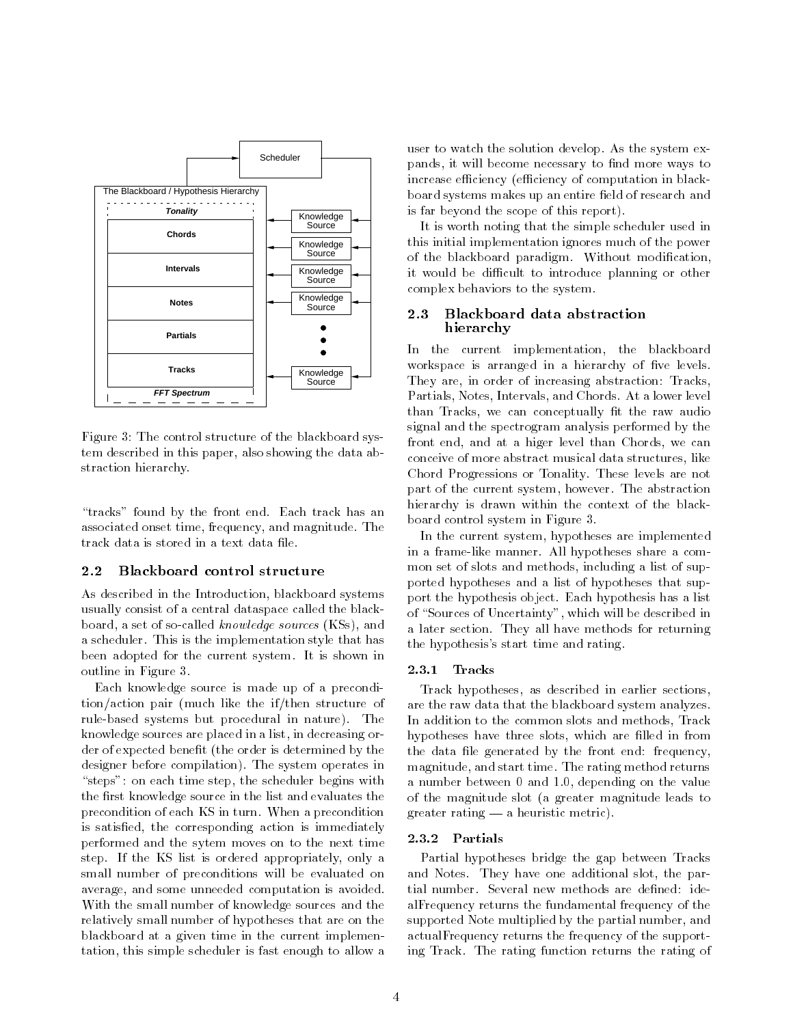

Figure 3: The control structure of the blackboard system described in this paper, also showing the data abstraction hierarchy.

"tracks" found by the front end. Each track has an associated onset time, frequency, and magnitude. The track data is stored in a text data file.

#### $2.2$ Blackboard control structure

As described in the Introduction, blackboard systems usually consist of a central dataspace called the blackboard, a set of so-called knowledge sources (KSs), and a scheduler. This is the implementation style that has been adopted for the current system. It is shown in outline in Figure 3.

Each knowledge source is made up of a precondition/action pair (much like the if/then structure of rule-based systems but procedural in nature). The knowledge sources are placed in a list, in decreasing order of expected benefit (the order is determined by the designer before compilation). The system operates in "steps": on each time step, the scheduler begins with the first knowledge source in the list and evaluates the precondition of each KS in turn. When a precondition is satisfied, the corresponding action is immediately performed and the sytem moves on to the next time step. If the KS list is ordered appropriately, only a small number of preconditions will be evaluated on average, and some unneeded computation is avoided. With the small number of knowledge sources and the relatively small number of hypotheses that are on the blackboard at a given time in the current implementation, this simple scheduler is fast enough to allow a user to watch the solution develop. As the system expands, it will become necessary to find more ways to increase efficiency (efficiency of computation in blackboard systems makes up an entire field of research and board systems makes up an entire eld of research and research and research and research and research and research and is far beyond the scope of this report).

It is worth noting that the simple scheduler used in this initial implementation ignores much of the power of the blackboard paradigm. Without modification, it would be difficult to introduce planning or other complex behaviors to the system.

#### 2.3 Blackboard data abstraction hierarchy

In the current implementation, the blackboard workspace is arranged in a hierarchy of five levels. They are, in order of increasing abstraction: Tracks, Partials, Notes, Intervals, and Chords. At a lower level than Tracks, we can conceptually fit the raw audio signal and the spectrogram analysis performed by the front end, and at a higer level than Chords, we can conceive of more abstract musical data structures, like Chord Progressions or Tonality. These levels are not part of the current system, however. The abstraction hierarchy is drawn within the context of the blackboard control system in Figure 3.

In the current system, hypotheses are implemented in a frame-like manner. All hypotheses share a common set of slots and methods, including a list of supported hypotheses and a list of hypotheses that support the hypothesis object. Each hypothesis has a list of "Sources of Uncertainty", which will be described in a later section. They all have methods for returning the hypothesis's start time and rating.

#### 2.3.1 Tracks

Track hypotheses, as described in earlier sections, are the raw data that the blackboard system analyzes. In addition to the common slots and methods, Track hypotheses have three slots, which are filled in from the data file generated by the front end: frequency, magnitude, and start time. The rating method returns a number between 0 and 1.0, depending on the value of the magnitude slot (a greater magnitude leads to greater rating  $-$  a heuristic metric).

#### 2.3.2 Partials

Partial hypotheses bridge the gap between Tracks and Notes. They have one additional slot, the partial number. Several new methods are defined: idealFrequency returns the fundamental frequency of the supported Note multiplied by the partial number, and actualFrequency returns the frequency of the supporting Track. The rating function returns the rating of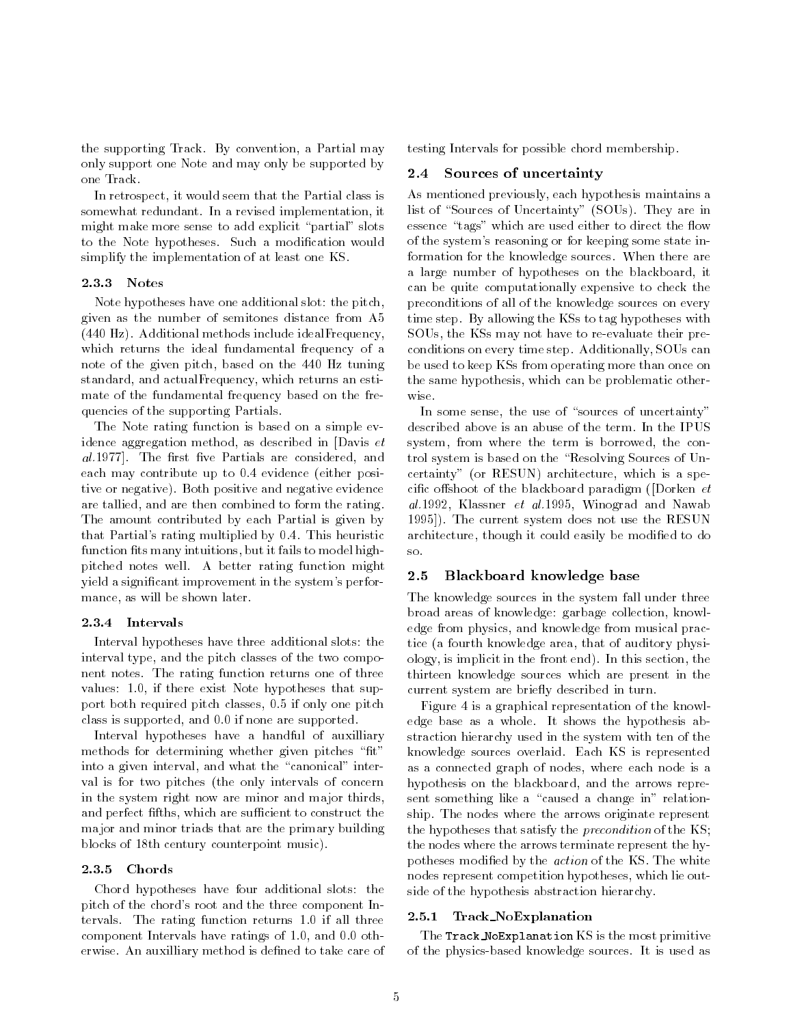the supporting Track. By convention, a Partial may only support one Note and may only be supported by one Track.

In retrospect, it would seem that the Partial class is somewhat redundant. In a revised implementation, it might make more sense to add explicit "partial" slots to the Note hypotheses. Such a modication would simplify the implementation of at least one KS.

#### 2.3.3 Notes

Note hypotheses have one additional slot: the pitch, given as the number of semitones distance from A5 (440 Hz). Additional methods include idealFrequency, which returns the ideal fundamental frequency of a note of the given pitch, based on the 440 Hz tuning standard, and actualFrequency, which returns an estimate of the fundamental frequency based on the frequencies of the supporting Partials.

The Note rating function is based on a simple evidence aggregation method, as described in [Davis et al.1977]. The first five Partials are considered, and each may contribute up to 0.4 evidence (either positive or negative). Both positive and negative evidence are tallied, and are then combined to form the rating. The amount contributed by each Partial is given by that Partial's rating multiplied by 0.4. This heuristic function fits many intuitions, but it fails to model highpitched notes well. A better rating function might yield a signicant improvement in the system's performance, as will be shown later.

#### 2.3.4 Intervals

Interval hypotheses have three additional slots: the interval type, and the pitch classes of the two component notes. The rating function returns one of three values: 1.0, if there exist Note hypotheses that support both required pitch classes, 0.5 if only one pitch class is supported, and 0.0 if none are supported.

Interval hypotheses have a handful of auxilliary methods for determining whether given pitches "fit" into a given interval, and what the "canonical" interval is for two pitches (the only intervals of concern in the system right now are minor and major thirds, and perfect fifths, which are sufficient to construct the major and minor triads that are the primary building blocks of 18th century counterpoint music).

#### 2.3.5 Chords

Chord hypotheses have four additional slots: the pitch of the chord's root and the three component Intervals. The rating function returns 1.0 if all three component Intervals have ratings of 1.0, and 0.0 otherwise. An auxilliary method is defined to take care of testing Intervals for possible chord membership.

#### 2.4 Sources of uncertainty

As mentioned previously, each hypothesis maintains a list of "Sources of Uncertainty" (SOUs). They are in essence "tags" which are used either to direct the flow of the system's reasoning or for keeping some state information for the knowledge sources. When there are a large number of hypotheses on the blackboard, it can be quite computationally expensive to check the preconditions of all of the knowledge sources on every time step. By allowing the KSs to tag hypotheses with SOUs, the KSs may not have to re-evaluate their preconditions on every time step. Additionally, SOUs can be used to keep KSs from operating more than once on the same hypothesis, which can be problematic otherwise.

In some sense, the use of "sources of uncertainty" described above is an abuse of the term. In the IPUS system, from where the term is borrowed, the control system is based on the "Resolving Sources of Uncertainty" (or RESUN) architecture, which is a specific offshoot of the blackboard paradigm ([Dorken  $et$ al.1992, Klassner et al.1995, Winograd and Nawab 1995]). The current system does not use the RESUN architecture, though it could easily be modified to do

#### 2.5 Blackboard knowledge base

The knowledge sources in the system fall under three broad areas of knowledge: garbage collection, knowledge from physics, and knowledge from musical practice (a fourth knowledge area, that of auditory physiology, is implicit in the front end). In this section, the thirteen knowledge sources which are present in the current system are briefly described in turn.

Figure 4 is a graphical representation of the knowledge base as a whole. It shows the hypothesis abstraction hierarchy used in the system with ten of the knowledge sources overlaid. Each KS is represented as a connected graph of nodes, where each node is a hypothesis on the blackboard, and the arrows represent something like a "caused a change in" relationship. The nodes where the arrows originate represent the hypotheses that satisfy the *precondition* of the KS; the nodes where the arrows terminate represent the hypotheses modified by the *action* of the KS. The white nodes represent competition hypotheses, which lie outside of the hypothesis abstraction hierarchy.

#### 2.5.1 Track NoExplanation

The Track NoExplanation KS is the most primitive of the physics-based knowledge sources. It is used as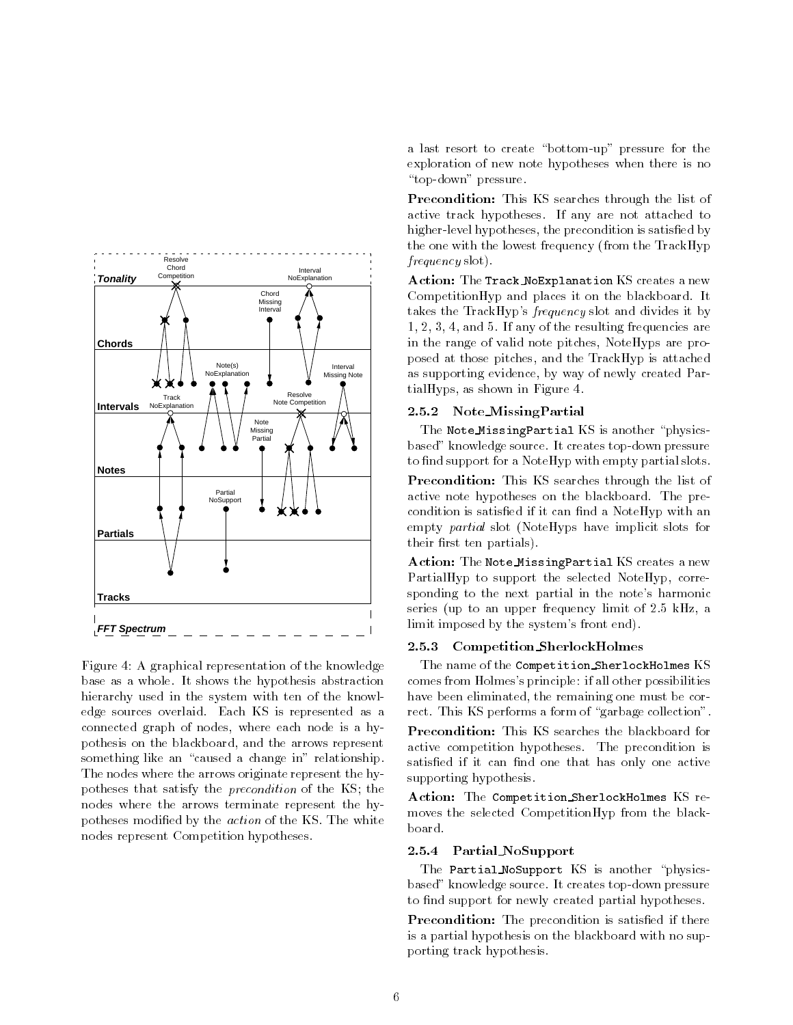

Figure 4: A graphical representation of the knowledge base as a whole. It shows the hypothesis abstraction hierarchy used in the system with ten of the knowledge sources overlaid. Each KS is represented as a connected graph of nodes, where each node is a hypothesis on the blackboard, and the arrows represent something like an "caused a change in" relationship. The nodes where the arrows originate represent the hypotheses that satisfy the precondition of the KS; the nodes where the arrows terminate represent the hypotheses modified by the *action* of the KS. The white nodes represent Competition hypotheses.

a last resort to create "bottom-up" pressure for the exploration of new note hypotheses when there is no "top-down" pressure.

Precondition: This KS searches through the list of active track hypotheses. If any are not attached to higher-level hypotheses, the precondition is satisfied by the one with the lowest frequency (from the TrackHyp frequency slot).

Action: The Track NoExplanation KS creates a new CompetitionHyp and places it on the blackboard. It takes the TrackHyp's frequency slot and divides it by 1, 2, 3, 4, and 5. If any of the resulting frequencies are in the range of valid note pitches, NoteHyps are proposed at those pitches, and the TrackHyp is attached as supporting evidence, by way of newly created PartialHyps, as shown in Figure 4.

#### 2.5.2 Note MissingPartial

The Note\_MissingPartial KS is another "physicsbased" knowledge source. It creates top-down pressure to find support for a NoteHyp with empty partial slots.

Precondition: This KS searches through the list of active note hypotheses on the blackboard. The precondition is satisfied if it can find a NoteHyp with an empty partial slot (NoteHyps have implicit slots for their first ten partials).

Action: The Note MissingPartial KS creates a new PartialHyp to support the selected NoteHyp, corresponding to the next partial in the note's harmonic series (up to an upper frequency limit of 2.5 kHz, a limit imposed by the system's front end).

#### 2.5.3 Competition SherlockHolmes

The name of the Competition SherlockHolmes KS comes from Holmes's principle: if all other possibilities have been eliminated, the remaining one must be correct. This KS performs a form of "garbage collection".

Precondition: This KS searches the blackboard for active competition hypotheses. The precondition is satisfied if it can find one that has only one active supporting hypothesis.

Action: The Competition SherlockHolmes KS re moves the selected CompetitionHyp from the blackboard.

#### 2.5.4 Partial NoSupport

The Partial NoSupport KS is another "physicsbased" knowledge source. It creates top-down pressure to find support for newly created partial hypotheses.

Precondition: The precondition is satisfied if there is a partial hypothesis on the blackboard with no supporting track hypothesis.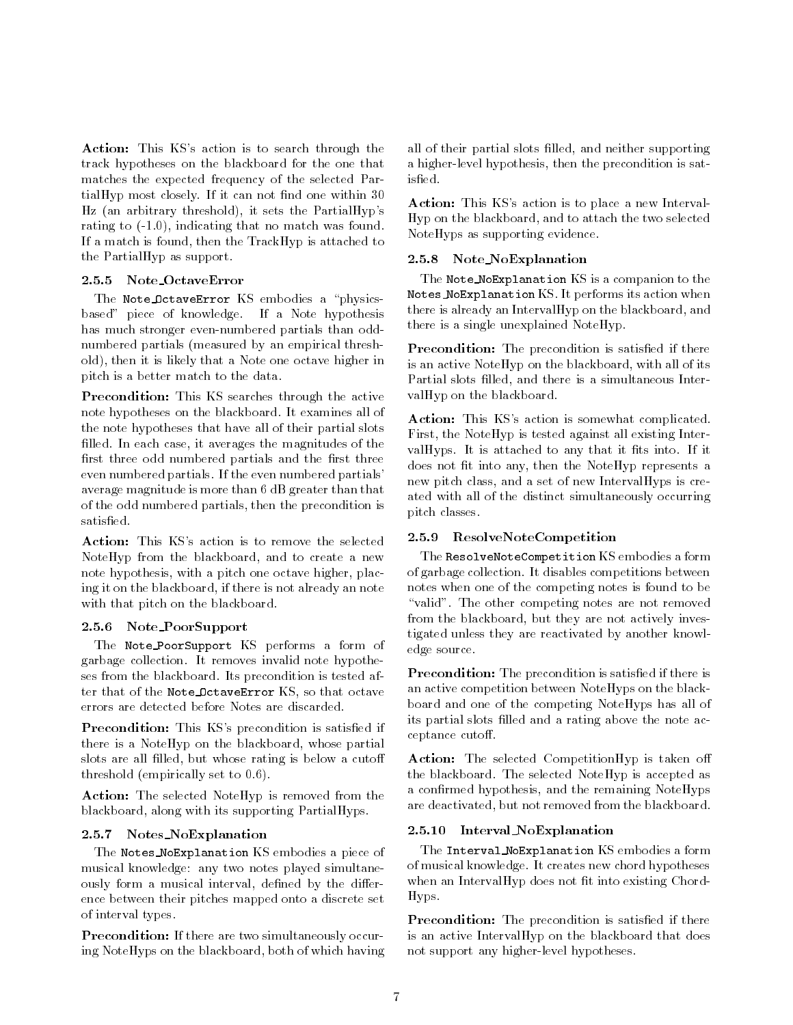Action: This KS's action is to search through the track hypotheses on the blackboard for the one that matches the expected frequency of the selected Par $tiall Hyp most closely. If it can not find one within  $30$$ Hz (an arbitrary threshold), it sets the PartialHyp's rating to (-1.0), indicating that no match was found. If a match is found, then the TrackHyp is attached to the PartialHyp as support.

### 2.5.5 Note OctaveError

The Note\_OctaveError KS embodies a "physicsbased" piece of knowledge. If a Note hypothesis has much stronger even-numbered partials than oddnumbered partials (measured by an empirical threshold), then it is likely that a Note one octave higher in pitch is a better match to the data.

Precondition: This KS searches through the active note hypotheses on the blackboard. It examines all of the note hypotheses that have all of their partial slots filled. In each case, it averages the magnitudes of the first three odd numbered partials and the first three even numbered partials. If the even numbered partials' average magnitude is more than 6 dB greater than that of the odd numbered partials, then the precondition is

Action: This KS's action is to remove the selected NoteHyp from the blackboard, and to create a new note hypothesis, with a pitch one octave higher, placing it on the blackboard, if there is not already an note with that pitch on the blackboard.

#### 2.5.6 Note PoorSupport

The Note PoorSupport KS performs a form of garbage collection. It removes invalid note hypotheses from the blackboard. Its precondition is tested after that of the Note OctaveError KS, so that octave errors are detected before Notes are discarded.

Precondition: This KS's precondition is satisfied if there is a NoteHyp on the blackboard, whose partial slots are all filled, but whose rating is below a cutoff threshold (empirically set to 0.6).

Action: The selected NoteHyp is removed from the blackboard, along with its supporting PartialHyps.

#### 2.5.7 Notes NoExplanation

The Notes NoExplanation KS embodies a piece of musical knowledge: any two notes played simultaneously form a musical interval, defined by the difference between their pitches mapped onto a discrete set of interval types.

Precondition: If there are two simultaneously occuring NoteHyps on the blackboard, both of which having all of their partial slots filled, and neither supporting a higher-level hypothesis, then the precondition is satisfied.

Action: This KS's action is to place a new Interval-Hyp on the blackboard, and to attach the two selected NoteHyps as supporting evidence.

### 2.5.8 Note NoExplanation

The Note NoExplanation KS is a companion to the Notes NoExplanation KS. It performs its action when there is already an IntervalHyp on the blackboard, and there is a single unexplained NoteHyp.

Precondition: The precondition is satisfied if there is an active NoteHyp on the blackboard, with all of its Partial slots filled, and there is a simultaneous IntervalHyp on the blackboard.

Action: This KS's action is somewhat complicated. First, the NoteHyp is tested against all existing IntervalHyps. It is attached to any that it fits into. If it does not fit into any, then the NoteHyp represents a new pitch class, and a set of new IntervalHyps is created with all of the distinct simultaneously occurring pitch classes.

### 2.5.9 ResolveNoteCompetition

The ResolveNoteCompetition KS embodies a form of garbage collection. It disables competitions between notes when one of the competing notes is found to be "valid". The other competing notes are not removed from the blackboard, but they are not actively investigated unless they are reactivated by another knowledge source.

Precondition: The precondition is satisfied if there is an active competition between NoteHyps on the blackboard and one of the competing NoteHyps has all of its partial slots filled and a rating above the note acceptance cutoff.

Action: The selected CompetitionHyp is taken off the blackboard. The selected NoteHyp is accepted as a confirmed hypothesis, and the remaining NoteHyps are deactivated, but not removed from the blackboard.

### 2.5.10 Interval NoExplanation

The Interval NoExplanation KS embodies a form of musical knowledge. It creates new chord hypotheses when an IntervalHyp does not fit into existing Chord-Hyps.

Precondition: The precondition is satisfied if there is an active IntervalHyp on the blackboard that does not support any higher-level hypotheses.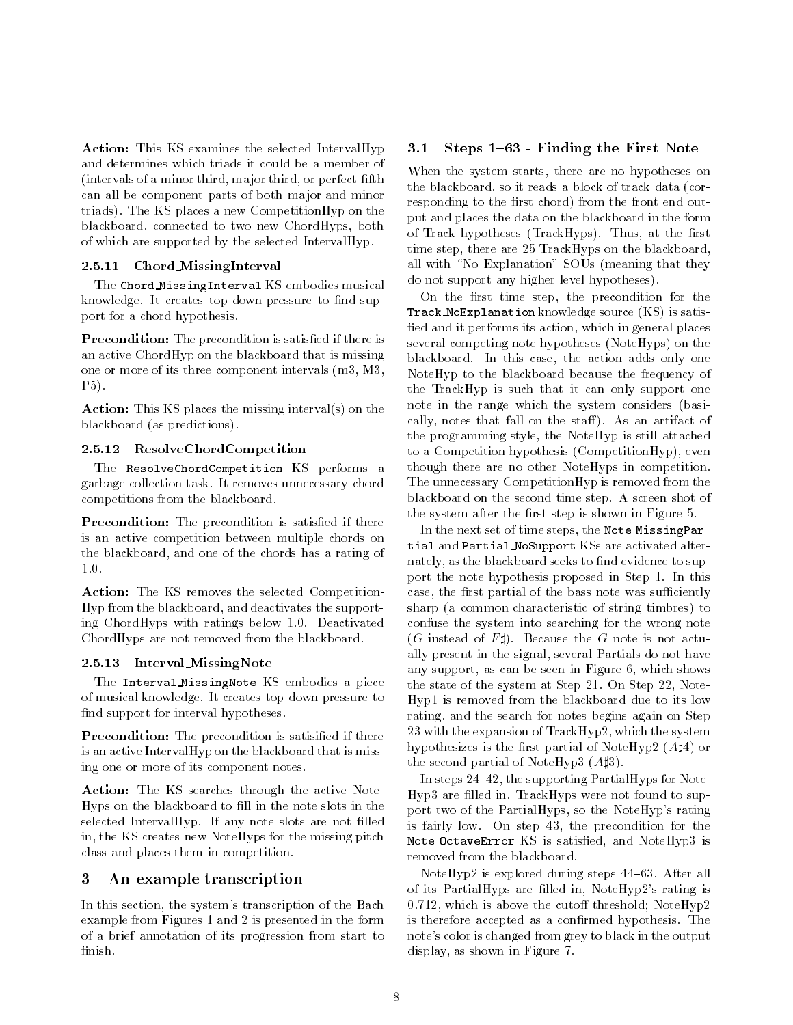Action: This KS examines the selected IntervalHyp 3.1 and determines which triads it could be a member of (intervals of a minor third, major third, or perfect fth can all be component parts of both major and minor triads). The KS places a new CompetitionHyp on the blackboard, connected to two new ChordHyps, both of which are supported by the selected IntervalHyp.

### 2.5.11 Chord MissingInterval

The Chord MissingInterval KS embodies musical knowledge. It creates top-down pressure to find support for a chord hypothesis.

Precondition: The precondition is satisfied if there is an active ChordHyp on the blackboard that is missing one or more of its three component intervals (m3, M3, P5).

Action: This KS places the missing interval(s) on the blackboard (as predictions).

#### 2.5.12 ResolveChordCompetition

The ResolveChordCompetition KS performs a garbage collection task. It removes unnecessary chord competitions from the blackboard.

**Precondition:** The precondition is satisfied if there is an active competition between multiple chords on the blackboard, and one of the chords has a rating of  $1.0.$ 

Action: The KS removes the selected Competition-Hyp from the blackboard, and deactivates the supporting ChordHyps with ratings below 1.0. Deactivated ChordHyps are not removed from the blackboard.

#### 2.5.13 Interval MissingNote

The Interval MissingNote KS embodies a piece of musical knowledge. It creates top-down pressure to find support for interval hypotheses.

Precondition: The precondition is satisified if there is an active IntervalHyp on the blackboard that is missing one or more of its component notes.

Action: The KS searches through the active Note-Hyps on the blackboard to fill in the note slots in the selected IntervalHyp. If any note slots are not filled in, the KS creates new NoteHyps for the missing pitch class and places them in competition.

### 3 An example transcription

In this section, the system's transcription of the Bach example from Figures 1 and 2 is presented in the form of a brief annotation of its progression from start to finish.

### Steps 1-63 - Finding the First Note

When the system starts, there are no hypotheses on the blackboard, so it reads a block of track data (corresponding to the first chord) from the front end output and places the data on the blackboard in the form of Track hypotheses (TrackHyps). Thus, at the first time step, there are 25 TrackHyps on the blackboard, all with "No Explanation" SOUs (meaning that they do not support any higher level hypotheses).

On the first time step, the precondition for the Track NoExplanation knowledge source (KS) is satis fied and it performs its action, which in general places several competing note hypotheses (NoteHyps) on the blackboard. In this case, the action adds only one NoteHyp to the blackboard because the frequency of the TrackHyp is such that it can only support one note in the range which the system considers (basically, notes that fall on the staff). As an artifact of the programming style, the NoteHyp is still attached to a Competition hypothesis (CompetitionHyp), even though there are no other NoteHyps in competition. The unnecessary CompetitionHyp is removed from the blackboard on the second time step. A screen shot of the system after the first step is shown in Figure 5.

In the next set of time steps, the Note MissingPartial and Partial NoSupport KSs are activated alternately, as the blackboard seeks to find evidence to support the note hypothesis proposed in Step 1. In this case, the first partial of the bass note was sufficiently sharp (a common characteristic of string timbres) to confuse the system into searching for the wrong note  $(G \text{ instead of } F \sharp).$  Because the G note is not actually present in the signal, several Partials do not have any support, as can be seen in Figure 6, which shows the state of the system at Step 21. On Step 22, Note-Hyp1 is removed from the blackboard due to its low rating, and the search for notes begins again on Step 23 with the expansion of TrackHyp2, which the system hypothesizes is the first partial of NoteHyp2  $(A\sharp 4)$  or the second partial of NoteHyp3  $(A\sharp 3)$ .

In steps  $24-42$ , the supporting PartialHyps for Note-Hyp3 are filled in. TrackHyps were not found to support two of the PartialHyps, so the NoteHyp's rating is fairly low. On step 43, the precondition for the Note OctaveError KS is satisfied, and NoteHyp3 is removed from the blackboard.

NoteHyp2 is explored during steps  $44-63$ . After all of its PartialHyps are filled in, NoteHyp2's rating is  $0.712$ , which is above the cutoff threshold; NoteHyp2 is therefore accepted as a confirmed hypothesis. The note's color is changed from grey to black in the output display, as shown in Figure 7.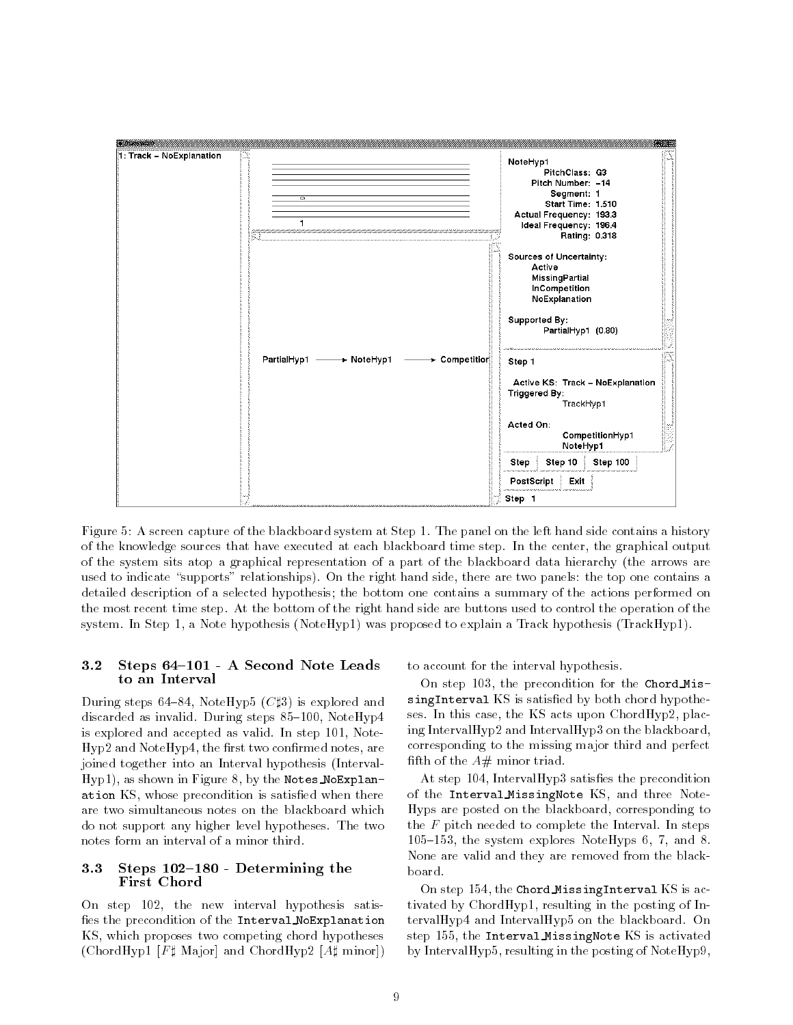

Figure 5: A screen capture of the blackboard system at Step 1. The panel on the left hand side contains a history of the knowledge sources that have executed at each blackboard time step. In the center, the graphical output of the system sits atop a graphical representation of a part of the blackboard data hierarchy (the arrows are used to indicate "supports" relationships). On the right hand side, there are two panels: the top one contains a detailed description of a selected hypothesis; the bottom one contains a summary of the actions performed on the most recent time step. At the bottom of the right hand side are buttons used to control the operation of the system. In Step 1, a Note hypothesis (NoteHyp1) was proposed to explain a Track hypothesis (TrackHyp1).

#### Steps 64-101 - A Second Note Leads  $3.2$ to an Interval

During steps 64-84, NoteHyp5 ( $C \sharp 3$ ) is explored and discarded as invalid. During steps  $85-100$ , NoteHyp4 is explored and accepted as valid. In step 101, Note-Hyp2 and NoteHyp4, the first two confirmed notes, are joined together into an Interval hypothesis (Interval-Hyp1), as shown in Figure 8, by the Notes NoExplanation KS, whose precondition is satisfied when there are two simultaneous notes on the blackboard which do not support any higher level hypotheses. The two notes form an interval of a minor third.

#### Steps  $102-180$  - Determining the  $3.3$ First Chord

On step 102, the new interval hypothesis satis fies the precondition of the Interval NoExplanation KS, which proposes two competing chord hypotheses (ChordHyp1 [ $F$ ‡ Major] and ChordHyp2 [ $A$ ‡ minor]) to account for the interval hypothesis.

On step 103, the precondition for the Chord MissingInterval KS is satisfied by both chord hypotheses. In this case, the KS acts upon ChordHyp2, placing IntervalHyp2 and IntervalHyp3 on the blackboard, corresponding to the missing major third and perfect fifth of the  $A#$  minor triad.

At step  $104$ , IntervalHyp3 satisfies the precondition of the Interval MissingNote KS, and three Note-Hyps are posted on the blackboard, corresponding to the  $F$  pitch needed to complete the Interval. In steps  $105{-}153$ , the system explores NoteHyps 6, 7, and 8. None are valid and they are removed from the blackboard.

On step 154, the Chord MissingInterval KS is activated by ChordHyp1, resulting in the posting of IntervalHyp4 and IntervalHyp5 on the blackboard. On step 155, the Interval MissingNote KS is activated by IntervalHyp5, resulting in the posting of NoteHyp9,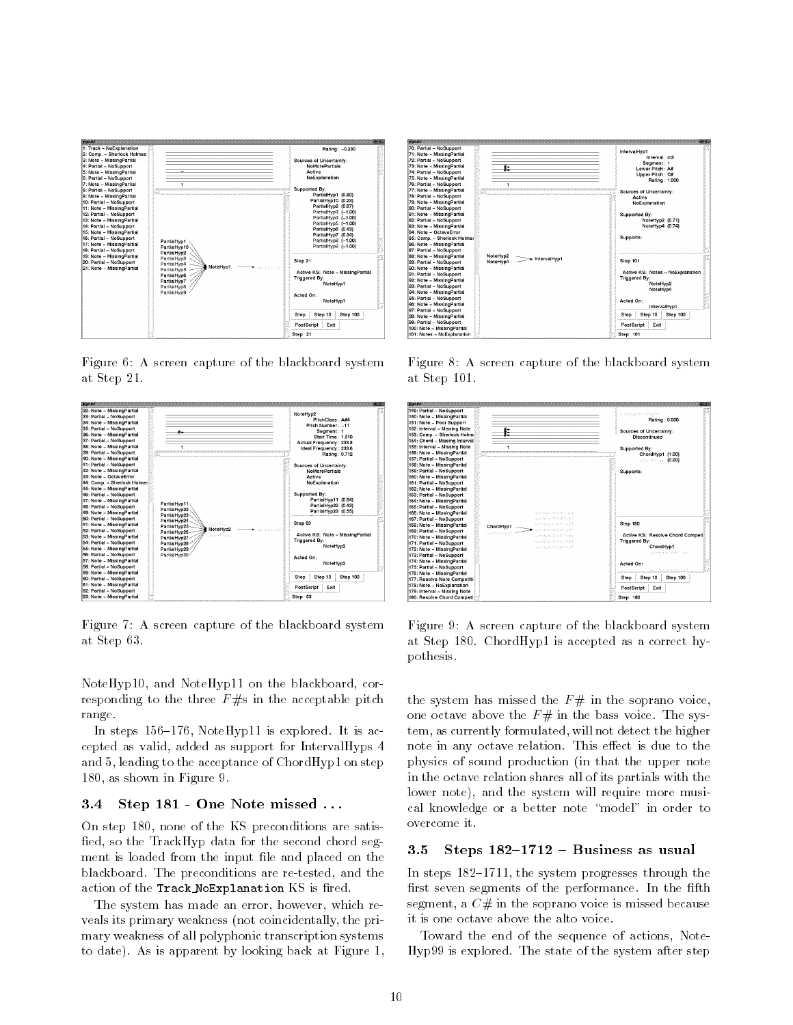

Figure 6: A screen capture of the blackboard system at Step 21.



Figure 7: A screen capture of the blackboard system at Step 63.

NoteHyp10, and NoteHyp11 on the blackboard, corresponding to the three  $F \# s$  in the acceptable pitch range.

In steps  $156-176$ , NoteHyp11 is explored. It is accepted as valid, added as support for IntervalHyps 4 and 5, leading to the acceptance of ChordHyp1 on step 180, as shown in Figure 9.

### 3.4 Step 181 - One Note missed . . .

On step 180, none of the KS preconditions are satis fied, so the TrackHyp data for the second chord segment is loaded from the input file and placed on the blackboard. The preconditions are re-tested, and the action of the Track NoExplanation KS is fired.

The system has made an error, however, which reveals its primary weakness (not coincidentally, the primary weakness of all polyphonic transcription systems to date). As is apparent by looking back at Figure 1,



Figure 8: A screen capture of the blackboard system at Step 101.



Figure 9: A screen capture of the blackboard system at Step 180. ChordHyp1 is accepted as a correct hypothesis.

the system has missed the  $F#$  in the soprano voice, one octave above the  $F#$  in the bass voice. The system, as currently formulated, will not detect the higher note in any octave relation. This effect is due to the physics of sound production (in that the upper note in the octave relation shares all of its partials with the lower note), and the system will require more musical knowledge or a better note "model" in order to overcome it.

#### 3.5 Steps  $182-1712$  – Business as usual

In steps  $182-1711$ , the system progresses through the first seven segments of the performance. In the fifth segment, a  $C#$  in the soprano voice is missed because it is one octave above the alto voice.

Toward the end of the sequence of actions, Note-Hyp99 is explored. The state of the system after step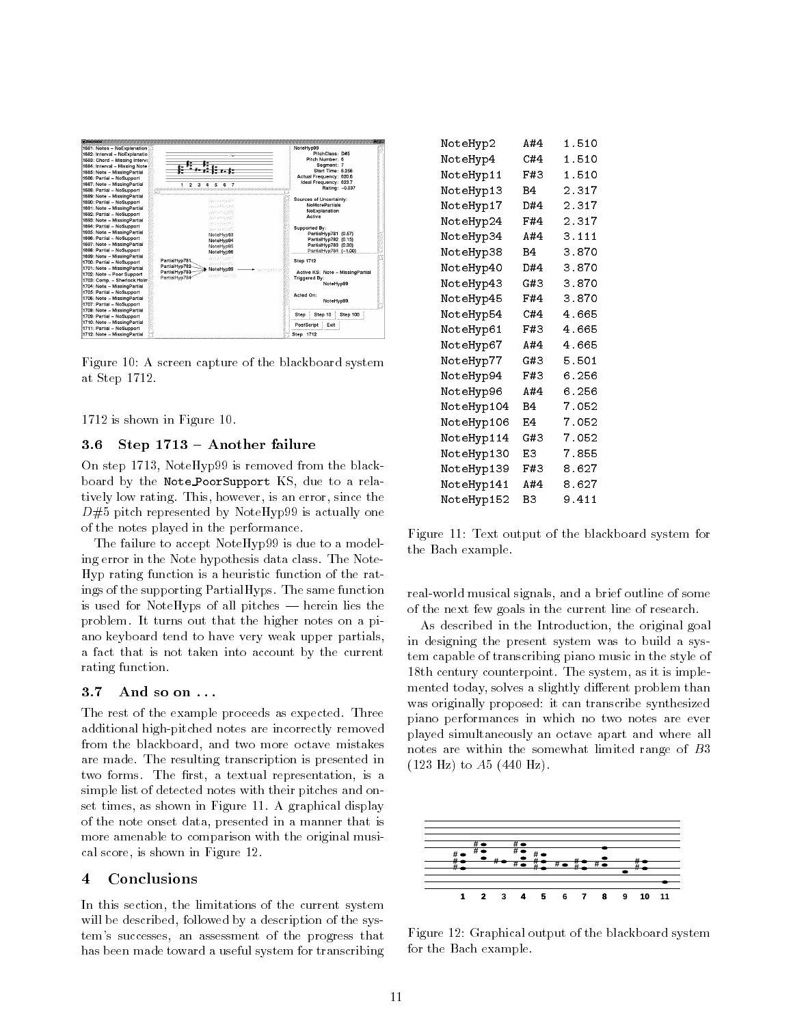

Figure 10: A screen capture of the blackboard system at Step 1712.

1712 is shown in Figure 10.

#### $3.6$  $Step 1713 - Another failure$

On step 1713, NoteHyp99 is removed from the blackboard by the Note PoorSupport KS, due to a relatively low rating. This, however, is an error, since the  $D#5$  pitch represented by NoteHyp99 is actually one of the notes played in the performance.

The failure to accept NoteHyp99 is due to a modeling error in the Note hypothesis data class. The Note-Hyp rating function is a heuristic function of the ratings of the supporting PartialHyps. The same function is used for NoteHyps of all pitches  $-$  herein lies the problem. It turns out that the higher notes on a piano keyboard tend to have very weak upper partials, a fact that is not taken into account by the current rating function.

The rest of the example proceeds as expected. Three additional high-pitched notes are incorrectly removed from the blackboard, and two more octave mistakes are made. The resulting transcription is presented in two forms. The first, a textual representation, is a simple list of detected notes with their pitches and onset times, as shown in Figure 11. A graphical display of the note onset data, presented in a manner that is more amenable to comparison with the original musical score, is shown in Figure 12.

#### **Conclusions**  $\overline{\mathbf{4}}$

In this section, the limitations of the current system will be described, followed by a description of the system's successes, an assessment of the progress that has been made toward a useful system for transcribing

| NoteHyp2          | A#4 | 1.510 |  |
|-------------------|-----|-------|--|
| NoteHyp4          | C#4 | 1.510 |  |
| NoteHyp11         | F#3 | 1.510 |  |
| NoteHyp13         | B4. | 2.317 |  |
| NoteHyp17         | D#4 | 2.317 |  |
| NoteHyp24         | F#4 | 2.317 |  |
| NoteHyp34         | A#4 | 3.111 |  |
| NoteHyp38         | B4  | 3.870 |  |
| NoteHyp40         | D#4 | 3.870 |  |
| NoteHyp43         | G#3 | 3.870 |  |
| NoteHyp45         | F#4 | 3.870 |  |
| NoteHyp54         | C#4 | 4.665 |  |
| NoteHyp61         | F#3 | 4.665 |  |
| NoteHyp67         | A#4 | 4.665 |  |
| NoteHyp77         | G#3 | 5.501 |  |
| NoteHyp94         | F#3 | 6.256 |  |
| NoteHyp96         | A#4 | 6.256 |  |
| NoteHyp104        | B4  | 7.052 |  |
| <b>NoteHyp106</b> | Е4  | 7.052 |  |
| NoteHyp114        | G#3 | 7.052 |  |
| NoteHyp130        | E3  | 7.855 |  |
| NoteHyp139        | F#3 | 8.627 |  |
| NoteHyp141        | A#4 | 8.627 |  |
| NoteHyp152        | B3  | 9.411 |  |
|                   |     |       |  |

Figure 11: Text output of the blackboard system for the Bach example.

real-world musical signals, and a brief outline of some of the next few goals in the current line of research.

As described in the Introduction, the original goal in designing the present system was to build a system capable of transcribing piano music in the style of 18th century counterpoint. The system, as it is imple mented today, solves a slightly different problem than was originally proposed: it can transcribe synthesized piano performances in which no two notes are ever played simultaneously an octave apart and where all notes are within the somewhat limited range of B3  $(123 \text{ Hz})$  to  $A5$   $(440 \text{ Hz})$ .



Figure 12: Graphical output of the blackboard system for the Bach example.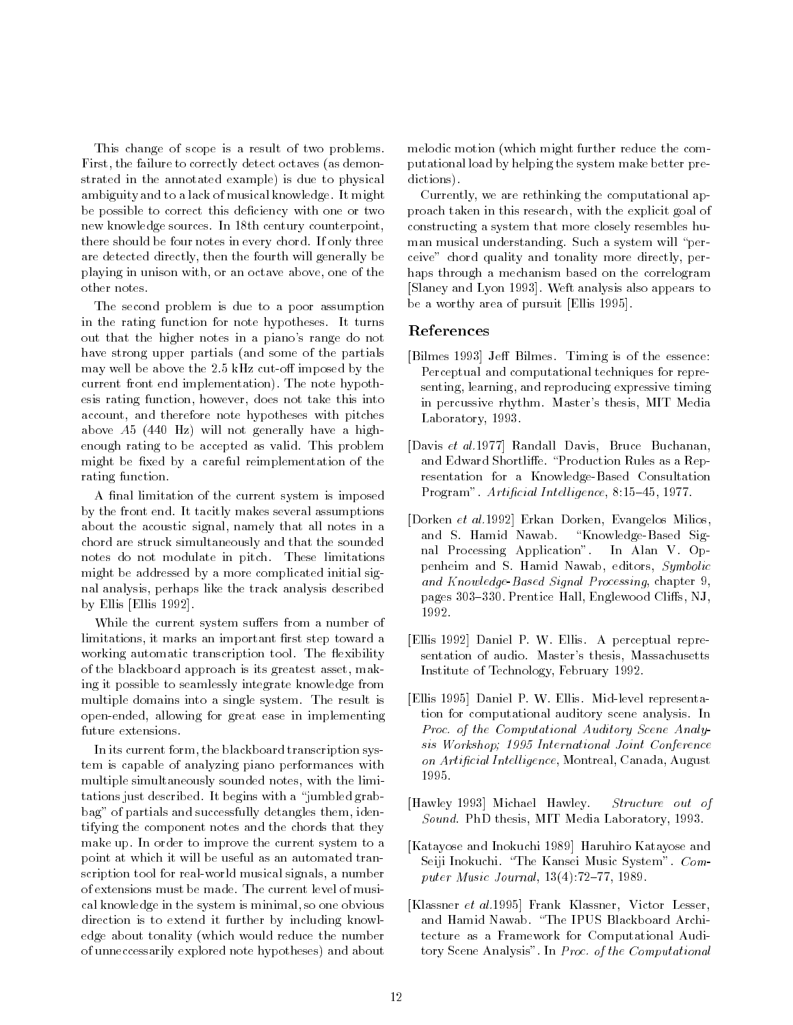This change of scope is a result of two problems. First, the failure to correctly detect octaves (as demonstrated in the annotated example) is due to physical ambiguity and to a lack of musical knowledge. It might be possible to correct this deficiency with one or two new knowledge sources. In 18th century counterpoint, there should be four notes in every chord. If only three are detected directly, then the fourth will generally be playing in unison with, or an octave above, one of the other notes.

The second problem is due to a poor assumption in the rating function for note hypotheses. It turns out that the higher notes in a piano's range do not have strong upper partials (and some of the partials may well be above the  $2.5$  kHz cut-off imposed by the current front end implementation). The note hypothesis rating function, however, does not take this into account, and therefore note hypotheses with pitches above A5 (440 Hz) will not generally have a highenough rating to be accepted as valid. This problem might be fixed by a careful reimplementation of the rating function.

A final limitation of the current system is imposed by the front end. It tacitly makes several assumptions about the acoustic signal, namely that all notes in a chord are struck simultaneously and that the sounded notes do not modulate in pitch. These limitations might be addressed by a more complicated initial signal analysis, perhaps like the track analysis described by Ellis [Ellis 1992].

While the current system suffers from a number of limitations, it marks an important first step toward a working automatic transcription tool. The flexibility of the blackboard approach is its greatest asset, making it possible to seamlessly integrate knowledge from multiple domains into a single system. The result is open-ended, allowing for great ease in implementing future extensions.

In its current form, the blackboard transcription system is capable of analyzing piano performances with multiple simultaneously sounded notes, with the limitations just described. It begins with a \jumbled grabbag" of partials and successfully detangles them, identifying the component notes and the chords that they make up. In order to improve the current system to a point at which it will be useful as an automated transcription tool for real-world musical signals, a number of extensions must be made. The current level of musical knowledge in the system is minimal, so one obvious direction is to extend it further by including knowledge about tonality (which would reduce the number of unneccessarily explored note hypotheses) and about

melodic motion (which might further reduce the computational load by helping the system make better predictions).

Currently, we are rethinking the computational approach taken in this research, with the explicit goal of constructing a system that more closely resembles hu man musical understanding. Such a system will "perceive" chord quality and tonality more directly, perhaps through a mechanism based on the correlogram [Slaney and Lyon 1993]. Weft analysis also appears to be a worthy area of pursuit [Ellis 1995].

## References

- [Bilmes 1993] Jeff Bilmes. Timing is of the essence: Perceptual and computational techniques for representing, learning, and reproducing expressive timing in percussive rhythm. Master's thesis, MIT Media Laboratory, 1993.
- [Davis et al.1977] Randall Davis, Bruce Buchanan, and Edward Shortliffe. "Production Rules as a Representation for a Knowledge-Based Consultation Program". Artificial Intelligence,  $8:15-45$ , 1977.
- [Dorken et al.1992] Erkan Dorken, Evangelos Milios, and S. Hamid Nawab. "Knowledge-Based Signal Processing Application". In Alan V. Oppenheim and S. Hamid Nawab, editors, Symbolic and Knowledge-Based Signal Processing, chapter 9, pages 303-330. Prentice Hall, Englewood Cliffs, NJ, 1992.
- [Ellis 1992] Daniel P. W. Ellis. A perceptual representation of audio. Master's thesis, Massachusetts Institute of Technology, February 1992.
- [Ellis 1995] Daniel P. W. Ellis. Mid-level representation for computational auditory scene analysis. In Proc. of the Computational Auditory Scene Analysis Workshop; 1995 International Joint Conference on Artificial Intelligence, Montreal, Canada, August 1995.
- [Hawley 1993] Michael Hawley. Structure out of Sound. PhD thesis, MIT Media Laboratory, 1993.
- [Katayose and Inokuchi 1989] Haruhiro Katayose and Seiji Inokuchi. "The Kansei Music System". Computer Music Journal,  $13(4)$ :72-77, 1989.
- [Klassner et al.1995] Frank Klassner, Victor Lesser, and Hamid Nawab. "The IPUS Blackboard Architecture as a Framework for Computational Auditory Scene Analysis". In Proc. of the Computational